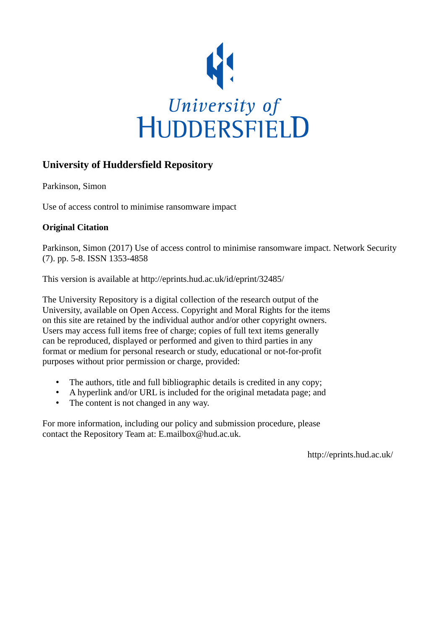

# **University of Huddersfield Repository**

Parkinson, Simon

Use of access control to minimise ransomware impact

## **Original Citation**

Parkinson, Simon (2017) Use of access control to minimise ransomware impact. Network Security (7). pp. 5-8. ISSN 1353-4858

This version is available at http://eprints.hud.ac.uk/id/eprint/32485/

The University Repository is a digital collection of the research output of the University, available on Open Access. Copyright and Moral Rights for the items on this site are retained by the individual author and/or other copyright owners. Users may access full items free of charge; copies of full text items generally can be reproduced, displayed or performed and given to third parties in any format or medium for personal research or study, educational or not-for-profit purposes without prior permission or charge, provided:

- The authors, title and full bibliographic details is credited in any copy;
- A hyperlink and/or URL is included for the original metadata page; and
- The content is not changed in any way.

For more information, including our policy and submission procedure, please contact the Repository Team at: E.mailbox@hud.ac.uk.

http://eprints.hud.ac.uk/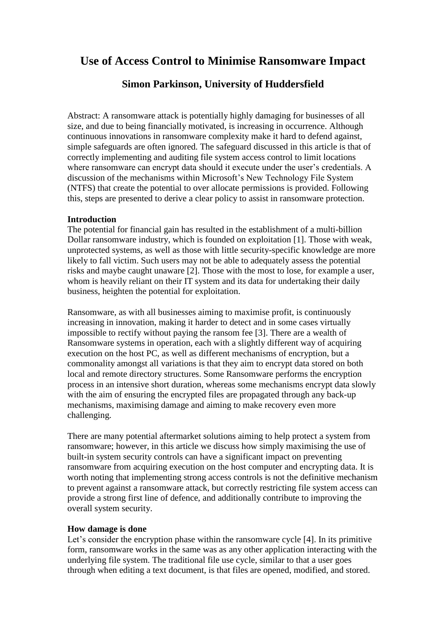# **Use of Access Control to Minimise Ransomware Impact**

# **Simon Parkinson, University of Huddersfield**

Abstract: A ransomware attack is potentially highly damaging for businesses of all size, and due to being financially motivated, is increasing in occurrence. Although continuous innovations in ransomware complexity make it hard to defend against, simple safeguards are often ignored. The safeguard discussed in this article is that of correctly implementing and auditing file system access control to limit locations where ransomware can encrypt data should it execute under the user's credentials. A discussion of the mechanisms within Microsoft's New Technology File System (NTFS) that create the potential to over allocate permissions is provided. Following this, steps are presented to derive a clear policy to assist in ransomware protection.

#### **Introduction**

The potential for financial gain has resulted in the establishment of a multi-billion Dollar ransomware industry, which is founded on exploitation [1]. Those with weak, unprotected systems, as well as those with little security-specific knowledge are more likely to fall victim. Such users may not be able to adequately assess the potential risks and maybe caught unaware [2]. Those with the most to lose, for example a user, whom is heavily reliant on their IT system and its data for undertaking their daily business, heighten the potential for exploitation.

Ransomware, as with all businesses aiming to maximise profit, is continuously increasing in innovation, making it harder to detect and in some cases virtually impossible to rectify without paying the ransom fee [3]. There are a wealth of Ransomware systems in operation, each with a slightly different way of acquiring execution on the host PC, as well as different mechanisms of encryption, but a commonality amongst all variations is that they aim to encrypt data stored on both local and remote directory structures. Some Ransomware performs the encryption process in an intensive short duration, whereas some mechanisms encrypt data slowly with the aim of ensuring the encrypted files are propagated through any back-up mechanisms, maximising damage and aiming to make recovery even more challenging.

There are many potential aftermarket solutions aiming to help protect a system from ransomware; however, in this article we discuss how simply maximising the use of built-in system security controls can have a significant impact on preventing ransomware from acquiring execution on the host computer and encrypting data. It is worth noting that implementing strong access controls is not the definitive mechanism to prevent against a ransomware attack, but correctly restricting file system access can provide a strong first line of defence, and additionally contribute to improving the overall system security.

#### **How damage is done**

Let's consider the encryption phase within the ransomware cycle [4]. In its primitive form, ransomware works in the same was as any other application interacting with the underlying file system. The traditional file use cycle, similar to that a user goes through when editing a text document, is that files are opened, modified, and stored.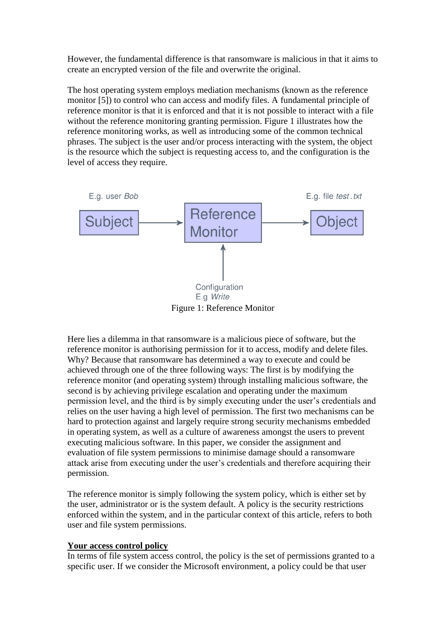However, the fundamental difference is that ransomware is malicious in that it aims to create an encrypted version of the file and overwrite the original.

The host operating system employs mediation mechanisms (known as the reference monitor [5]) to control who can access and modify files. A fundamental principle of reference monitor is that it is enforced and that it is not possible to interact with a file without the reference monitoring granting permission. Figure 1 illustrates how the reference monitoring works, as well as introducing some of the common technical phrases. The subject is the user and/or process interacting with the system, the object is the resource which the subject is requesting access to, and the configuration is the level of access they require.



Here lies a dilemma in that ransomware is a malicious piece of software, but the reference monitor is authorising permission for it to access, modify and delete files. Why? Because that ransomware has determined a way to execute and could be achieved through one of the three following ways: The first is by modifying the reference monitor (and operating system) through installing malicious software, the second is by achieving privilege escalation and operating under the maximum permission level, and the third is by simply executing under the user's credentials and relies on the user having a high level of permission. The first two mechanisms can be hard to protection against and largely require strong security mechanisms embedded in operating system, as well as a culture of awareness amongst the users to prevent executing malicious software. In this paper, we consider the assignment and evaluation of file system permissions to minimise damage should a ransomware attack arise from executing under the user's credentials and therefore acquiring their permission.

The reference monitor is simply following the system policy, which is either set by the user, administrator or is the system default. A policy is the security restrictions enforced within the system, and in the particular context of this article, refers to both user and file system permissions.

#### **Your access control policy**

In terms of file system access control, the policy is the set of permissions granted to a specific user. If we consider the Microsoft environment, a policy could be that user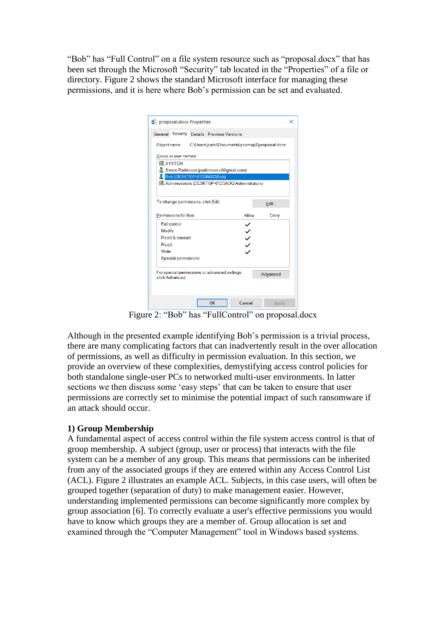"Bob" has "Full Control" on a file system resource such as "proposal.docx" that has been set through the Microsoft "Security" tab located in the "Properties" of a file or directory. Figure 2 shows the standard Microsoft interface for managing these permissions, and it is here where Bob's permission can be set and evaluated.

| proposal.docx Properties   |                                                           |              |          |
|----------------------------|-----------------------------------------------------------|--------------|----------|
|                            | General Security Details Previous Versions                |              |          |
| Object name:               | C:\Users\parki\Documents\scomsp2\proposal.docx            |              |          |
| Group or user names:       |                                                           |              |          |
| <b>SZ SYSTEM</b>           |                                                           |              |          |
|                            | Simon Parkinson (parkinson.sl@gmail.com)                  |              |          |
|                            | Bob (DESKTOP-61D3AOQ\Bob)                                 |              |          |
|                            | <b>BL</b> Administrators (DESKTOP-61D3AOQ\Administrators) |              |          |
|                            | To change permissions, click Edit.                        |              | Edit     |
| Permissions for Bob        |                                                           | Allow        | Deny     |
| Full control               |                                                           |              |          |
| Modify                     |                                                           |              |          |
| Read & execute             |                                                           | $\checkmark$ |          |
| Read                       |                                                           |              |          |
| Write                      |                                                           |              |          |
| <b>Special permissions</b> |                                                           |              |          |
|                            |                                                           |              |          |
| click Advanced             | For special permissions or advanced settings,             |              | Advanced |
|                            |                                                           |              |          |

Figure 2: "Bob" has "FullControl" on proposal.docx

Although in the presented example identifying Bob's permission is a trivial process, there are many complicating factors that can inadvertently result in the over allocation of permissions, as well as difficulty in permission evaluation. In this section, we provide an overview of these complexities, demystifying access control policies for both standalone single-user PCs to networked multi-user environments. In latter sections we then discuss some 'easy steps' that can be taken to ensure that user permissions are correctly set to minimise the potential impact of such ransomware if an attack should occur.

## **1) Group Membership**

A fundamental aspect of access control within the file system access control is that of group membership. A subject (group, user or process) that interacts with the file system can be a member of any group. This means that permissions can be inherited from any of the associated groups if they are entered within any Access Control List (ACL). Figure 2 illustrates an example ACL. Subjects, in this case users, will often be grouped together (separation of duty) to make management easier. However, understanding implemented permissions can become significantly more complex by group association [6]. To correctly evaluate a user's effective permissions you would have to know which groups they are a member of. Group allocation is set and examined through the "Computer Management" tool in Windows based systems.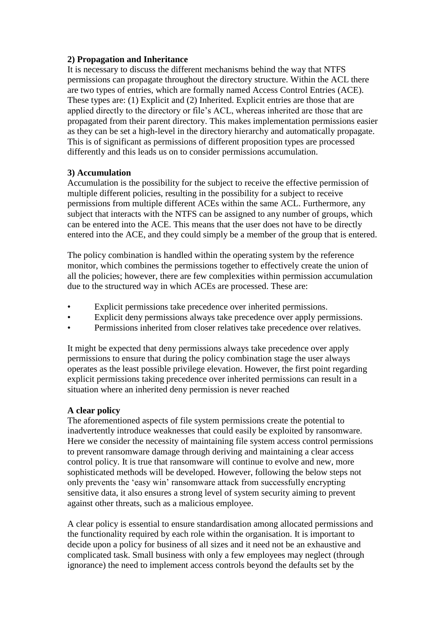#### **2) Propagation and Inheritance**

It is necessary to discuss the different mechanisms behind the way that NTFS permissions can propagate throughout the directory structure. Within the ACL there are two types of entries, which are formally named Access Control Entries (ACE). These types are: (1) Explicit and (2) Inherited. Explicit entries are those that are applied directly to the directory or file's ACL, whereas inherited are those that are propagated from their parent directory. This makes implementation permissions easier as they can be set a high-level in the directory hierarchy and automatically propagate. This is of significant as permissions of different proposition types are processed differently and this leads us on to consider permissions accumulation.

#### **3) Accumulation**

Accumulation is the possibility for the subject to receive the effective permission of multiple different policies, resulting in the possibility for a subject to receive permissions from multiple different ACEs within the same ACL. Furthermore, any subject that interacts with the NTFS can be assigned to any number of groups, which can be entered into the ACE. This means that the user does not have to be directly entered into the ACE, and they could simply be a member of the group that is entered.

The policy combination is handled within the operating system by the reference monitor, which combines the permissions together to effectively create the union of all the policies; however, there are few complexities within permission accumulation due to the structured way in which ACEs are processed. These are:

- Explicit permissions take precedence over inherited permissions.
- Explicit deny permissions always take precedence over apply permissions.
- Permissions inherited from closer relatives take precedence over relatives.

It might be expected that deny permissions always take precedence over apply permissions to ensure that during the policy combination stage the user always operates as the least possible privilege elevation. However, the first point regarding explicit permissions taking precedence over inherited permissions can result in a situation where an inherited deny permission is never reached

## **A clear policy**

The aforementioned aspects of file system permissions create the potential to inadvertently introduce weaknesses that could easily be exploited by ransomware. Here we consider the necessity of maintaining file system access control permissions to prevent ransomware damage through deriving and maintaining a clear access control policy. It is true that ransomware will continue to evolve and new, more sophisticated methods will be developed. However, following the below steps not only prevents the 'easy win' ransomware attack from successfully encrypting sensitive data, it also ensures a strong level of system security aiming to prevent against other threats, such as a malicious employee.

A clear policy is essential to ensure standardisation among allocated permissions and the functionality required by each role within the organisation. It is important to decide upon a policy for business of all sizes and it need not be an exhaustive and complicated task. Small business with only a few employees may neglect (through ignorance) the need to implement access controls beyond the defaults set by the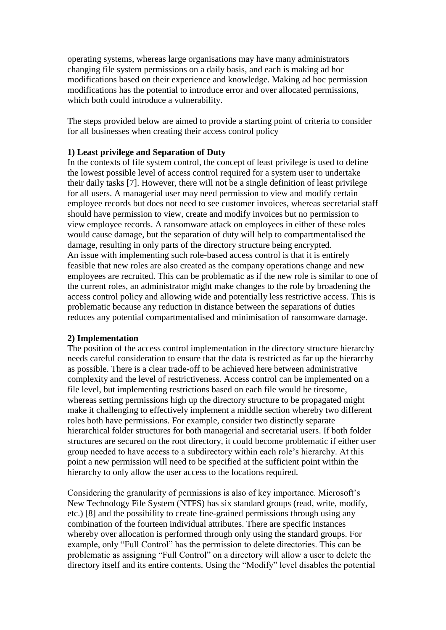operating systems, whereas large organisations may have many administrators changing file system permissions on a daily basis, and each is making ad hoc modifications based on their experience and knowledge. Making ad hoc permission modifications has the potential to introduce error and over allocated permissions, which both could introduce a vulnerability.

The steps provided below are aimed to provide a starting point of criteria to consider for all businesses when creating their access control policy

#### **1) Least privilege and Separation of Duty**

In the contexts of file system control, the concept of least privilege is used to define the lowest possible level of access control required for a system user to undertake their daily tasks [7]. However, there will not be a single definition of least privilege for all users. A managerial user may need permission to view and modify certain employee records but does not need to see customer invoices, whereas secretarial staff should have permission to view, create and modify invoices but no permission to view employee records. A ransomware attack on employees in either of these roles would cause damage, but the separation of duty will help to compartmentalised the damage, resulting in only parts of the directory structure being encrypted. An issue with implementing such role-based access control is that it is entirely feasible that new roles are also created as the company operations change and new employees are recruited. This can be problematic as if the new role is similar to one of the current roles, an administrator might make changes to the role by broadening the access control policy and allowing wide and potentially less restrictive access. This is problematic because any reduction in distance between the separations of duties reduces any potential compartmentalised and minimisation of ransomware damage.

#### **2) Implementation**

The position of the access control implementation in the directory structure hierarchy needs careful consideration to ensure that the data is restricted as far up the hierarchy as possible. There is a clear trade-off to be achieved here between administrative complexity and the level of restrictiveness. Access control can be implemented on a file level, but implementing restrictions based on each file would be tiresome, whereas setting permissions high up the directory structure to be propagated might make it challenging to effectively implement a middle section whereby two different roles both have permissions. For example, consider two distinctly separate hierarchical folder structures for both managerial and secretarial users. If both folder structures are secured on the root directory, it could become problematic if either user group needed to have access to a subdirectory within each role's hierarchy. At this point a new permission will need to be specified at the sufficient point within the hierarchy to only allow the user access to the locations required.

Considering the granularity of permissions is also of key importance. Microsoft's New Technology File System (NTFS) has six standard groups (read, write, modify, etc.) [8] and the possibility to create fine-grained permissions through using any combination of the fourteen individual attributes. There are specific instances whereby over allocation is performed through only using the standard groups. For example, only "Full Control" has the permission to delete directories. This can be problematic as assigning "Full Control" on a directory will allow a user to delete the directory itself and its entire contents. Using the "Modify" level disables the potential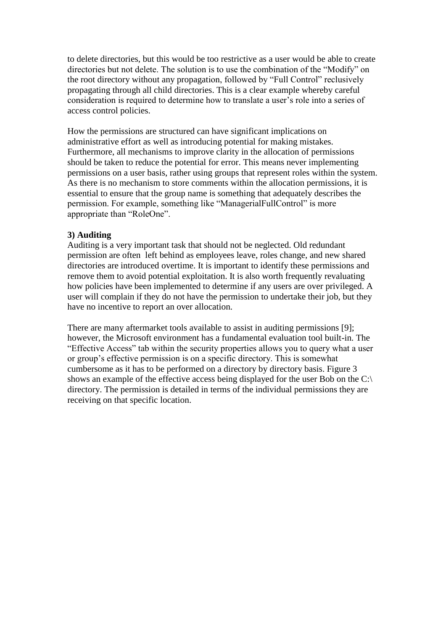to delete directories, but this would be too restrictive as a user would be able to create directories but not delete. The solution is to use the combination of the "Modify" on the root directory without any propagation, followed by "Full Control" reclusively propagating through all child directories. This is a clear example whereby careful consideration is required to determine how to translate a user's role into a series of access control policies.

How the permissions are structured can have significant implications on administrative effort as well as introducing potential for making mistakes. Furthermore, all mechanisms to improve clarity in the allocation of permissions should be taken to reduce the potential for error. This means never implementing permissions on a user basis, rather using groups that represent roles within the system. As there is no mechanism to store comments within the allocation permissions, it is essential to ensure that the group name is something that adequately describes the permission. For example, something like "ManagerialFullControl" is more appropriate than "RoleOne".

#### **3) Auditing**

Auditing is a very important task that should not be neglected. Old redundant permission are often left behind as employees leave, roles change, and new shared directories are introduced overtime. It is important to identify these permissions and remove them to avoid potential exploitation. It is also worth frequently revaluating how policies have been implemented to determine if any users are over privileged. A user will complain if they do not have the permission to undertake their job, but they have no incentive to report an over allocation.

There are many aftermarket tools available to assist in auditing permissions [9]; however, the Microsoft environment has a fundamental evaluation tool built-in. The "Effective Access" tab within the security properties allows you to query what a user or group's effective permission is on a specific directory. This is somewhat cumbersome as it has to be performed on a directory by directory basis. Figure 3 shows an example of the effective access being displayed for the user Bob on the C:\ directory. The permission is detailed in terms of the individual permissions they are receiving on that specific location.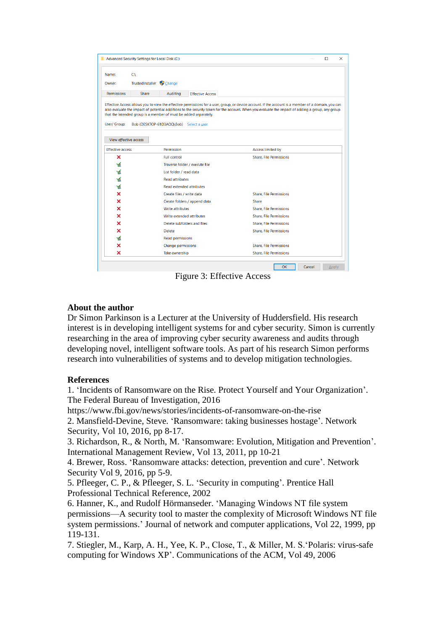|                         | Advanced Security Settings for Local Disk (C:) |                                                                                                             |                         |                                                                                                                                                                                                                                                                                                         |                                |    |        | п     | $\times$ |
|-------------------------|------------------------------------------------|-------------------------------------------------------------------------------------------------------------|-------------------------|---------------------------------------------------------------------------------------------------------------------------------------------------------------------------------------------------------------------------------------------------------------------------------------------------------|--------------------------------|----|--------|-------|----------|
| Name:                   | $C\Lambda$                                     |                                                                                                             |                         |                                                                                                                                                                                                                                                                                                         |                                |    |        |       |          |
| Owner:                  | TrustedInstaller                               | Change                                                                                                      |                         |                                                                                                                                                                                                                                                                                                         |                                |    |        |       |          |
| Permissions             | Share                                          | Auditing                                                                                                    | <b>Effective Access</b> |                                                                                                                                                                                                                                                                                                         |                                |    |        |       |          |
| User/ Group:            |                                                | that the intended group is a member of must be added separately.<br>Bob (DESKTOP-61D3AOQ\Bob) Select a user |                         | Effective Access allows you to view the effective permissions for a user, group, or device account. If the account is a member of a domain, you can<br>also evaluate the impact of potential additions to the security token for the account. When you evaluate the impact of adding a group, any group |                                |    |        |       |          |
| View effective access   |                                                |                                                                                                             |                         |                                                                                                                                                                                                                                                                                                         |                                |    |        |       |          |
| <b>Effective access</b> |                                                | Permission                                                                                                  |                         |                                                                                                                                                                                                                                                                                                         | <b>Access limited by</b>       |    |        |       |          |
| ×                       |                                                | <b>Full control</b>                                                                                         |                         |                                                                                                                                                                                                                                                                                                         | <b>Share, File Permissions</b> |    |        |       |          |
| w                       |                                                | Traverse folder / execute file                                                                              |                         |                                                                                                                                                                                                                                                                                                         |                                |    |        |       |          |
| ⊻                       |                                                | List folder / read data                                                                                     |                         |                                                                                                                                                                                                                                                                                                         |                                |    |        |       |          |
| ٧ź                      |                                                | <b>Read attributes</b>                                                                                      |                         |                                                                                                                                                                                                                                                                                                         |                                |    |        |       |          |
| ⊻                       |                                                | <b>Read extended attributes</b>                                                                             |                         |                                                                                                                                                                                                                                                                                                         |                                |    |        |       |          |
| ×                       |                                                | Create files / write data                                                                                   |                         |                                                                                                                                                                                                                                                                                                         | <b>Share, File Permissions</b> |    |        |       |          |
| ×                       |                                                | Create folders / append data                                                                                |                         |                                                                                                                                                                                                                                                                                                         | Share                          |    |        |       |          |
| ×                       |                                                | <b>Write attributes</b>                                                                                     |                         |                                                                                                                                                                                                                                                                                                         | <b>Share, File Permissions</b> |    |        |       |          |
| ×                       |                                                | Write extended attributes                                                                                   |                         |                                                                                                                                                                                                                                                                                                         | <b>Share, File Permissions</b> |    |        |       |          |
| ×                       |                                                | Delete subfolders and files                                                                                 |                         |                                                                                                                                                                                                                                                                                                         | <b>Share, File Permissions</b> |    |        |       |          |
| ×                       |                                                | <b>Delete</b>                                                                                               |                         |                                                                                                                                                                                                                                                                                                         | <b>Share, File Permissions</b> |    |        |       |          |
|                         |                                                | <b>Read permissions</b>                                                                                     |                         |                                                                                                                                                                                                                                                                                                         |                                |    |        |       |          |
| ×                       |                                                | Change permissions                                                                                          |                         |                                                                                                                                                                                                                                                                                                         | <b>Share, File Permissions</b> |    |        |       |          |
| ×                       |                                                | Take ownership                                                                                              |                         |                                                                                                                                                                                                                                                                                                         | <b>Share, File Permissions</b> |    |        |       |          |
|                         |                                                |                                                                                                             |                         |                                                                                                                                                                                                                                                                                                         |                                | OK | Cancel | Apply |          |

Figure 3: Effective Access

#### **About the author**

Dr Simon Parkinson is a Lecturer at the University of Huddersfield. His research interest is in developing intelligent systems for and cyber security. Simon is currently researching in the area of improving cyber security awareness and audits through developing novel, intelligent software tools. As part of his research Simon performs research into vulnerabilities of systems and to develop mitigation technologies.

#### **References**

1. 'Incidents of Ransomware on the Rise. Protect Yourself and Your Organization'. The Federal Bureau of Investigation, 2016

https://www.fbi.gov/news/stories/incidents-of-ransomware-on-the-rise

2. Mansfield-Devine, Steve. 'Ransomware: taking businesses hostage'. Network Security, Vol 10, 2016, pp 8-17.

3. Richardson, R., & North, M. 'Ransomware: Evolution, Mitigation and Prevention'. International Management Review, Vol 13, 2011, pp 10-21

4. Brewer, Ross. 'Ransomware attacks: detection, prevention and cure'. Network Security Vol 9, 2016, pp 5-9.

5. Pfleeger, C. P., & Pfleeger, S. L. 'Security in computing'. Prentice Hall Professional Technical Reference, 2002

6. Hanner, K., and Rudolf Hörmanseder. 'Managing Windows NT file system permissions—A security tool to master the complexity of Microsoft Windows NT file system permissions.' Journal of network and computer applications, Vol 22, 1999, pp 119-131.

7. Stiegler, M., Karp, A. H., Yee, K. P., Close, T., & Miller, M. S.'Polaris: virus-safe computing for Windows XP'. Communications of the ACM, Vol 49, 2006